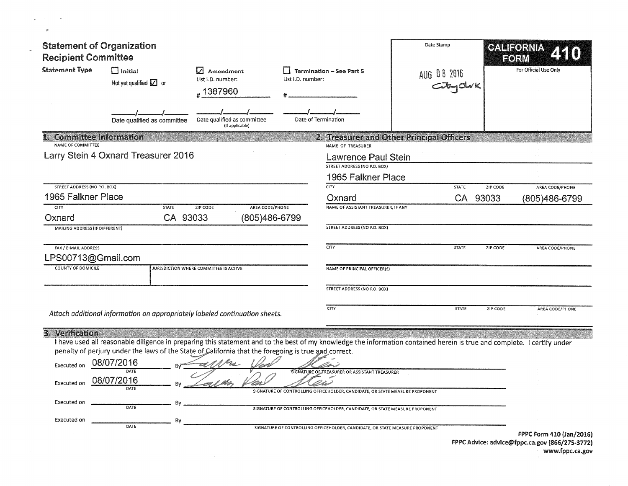| <b>Statement of Organization</b>                        |                                                                                                                    |                                                     |                   |                                                                                                                                                                         | Date Stamp   |          | CALIFORNIA            |
|---------------------------------------------------------|--------------------------------------------------------------------------------------------------------------------|-----------------------------------------------------|-------------------|-------------------------------------------------------------------------------------------------------------------------------------------------------------------------|--------------|----------|-----------------------|
| <b>Recipient Committee</b>                              |                                                                                                                    |                                                     |                   |                                                                                                                                                                         |              |          | FORM                  |
| <b>Statement Type</b>                                   | $\Box$ Initial<br>Not yet qualified $\boxed{\angle}$ or                                                            | $ $ Amendment<br>List I.D. number:<br>#1387960      | List I.D. number: | <b>Termination - See Part 5</b>                                                                                                                                         | AUG 08 2016  |          | For Official Use Only |
|                                                         | Date qualified as committee                                                                                        | Date qualified as committee<br>(if applicable)      |                   | Date of Termination                                                                                                                                                     |              |          |                       |
| <b>Committee Information</b><br>NAME OF COMMITTEE       |                                                                                                                    |                                                     |                   | 2. Treasurer and Other Principal Officers<br>NAME OF TREASURER                                                                                                          |              |          |                       |
|                                                         | Larry Stein 4 Oxnard Treasurer 2016                                                                                |                                                     |                   | <b>Lawrence Paul Stein</b><br>STREET ADDRESS (NO P.O. BOX)<br>1965 Falkner Place                                                                                        |              |          |                       |
| STREET ADDRESS (NO P.O. BOX)                            |                                                                                                                    |                                                     |                   | <b>CITY</b>                                                                                                                                                             | <b>STATE</b> | ZIP CODE | AREA CODE/PHONE       |
| 1965 Falkner Place                                      |                                                                                                                    |                                                     |                   | Oxnard                                                                                                                                                                  |              | CA 93033 | (805)486-6799         |
| <b>CITY</b><br>Oxnard<br>MAILING ADDRESS (IF DIFFERENT) | <b>STATE</b><br>CA 93033                                                                                           | AREA CODE/PHONE<br><b>ZIP CODE</b><br>(805)486-6799 |                   | NAME OF ASSISTANT TREASURER, IF ANY<br><b>STREET ADDRESS (NO P.O. BOX)</b>                                                                                              |              |          |                       |
| FAX / E-MAIL ADDRESS                                    |                                                                                                                    |                                                     |                   | CITY                                                                                                                                                                    | STATE        | ZIP CODE | AREA CODE/PHONE       |
| LPS00713@Gmail.com                                      |                                                                                                                    |                                                     |                   |                                                                                                                                                                         |              |          |                       |
| <b>COUNTY OF DOMICILE</b>                               |                                                                                                                    | JURISDICTION WHERE COMMITTEE IS ACTIVE              |                   | NAME OF PRINCIPAL OFFICER(S)                                                                                                                                            |              |          |                       |
|                                                         |                                                                                                                    |                                                     |                   | STREET ADDRESS (NO P.O. BOX)                                                                                                                                            |              |          |                       |
|                                                         | Attach additional information on appropriately labeled continuation sheets.                                        |                                                     |                   | CITY                                                                                                                                                                    | <b>STATE</b> | ZIP CODE | AREA CODE/PHONE       |
|                                                         |                                                                                                                    |                                                     |                   |                                                                                                                                                                         |              |          |                       |
| 3. Verification<br>Executed on                          | penalty of perjury under the laws of the State of California that the foregoing is true and correct.<br>08/07/2016 | I Partir                                            |                   | I have used all reasonable diligence in preparing this statement and to the best of my knowledge the information contained herein is true and complete. I certify under |              |          |                       |
| Executed on                                             | 08/07/2016<br>DATE                                                                                                 |                                                     |                   | SIGNATURE OF TREASURER OR ASSISTANT TREASURER<br>SIGNATURE OF CONTROLLING OFFICEHOLDER, CANDIDATE, OR STATE MEASURE PROPONENT                                           |              |          |                       |
|                                                         |                                                                                                                    |                                                     |                   |                                                                                                                                                                         |              |          |                       |
| Executed on                                             | DATE                                                                                                               |                                                     |                   | SIGNATURE OF CONTROLLING OFFICEHOLDER, CANDIDATE, OR STATE MEASURE PROPONENT                                                                                            |              |          |                       |

| www.fppc.ca.gov |  |
|-----------------|--|
|-----------------|--|